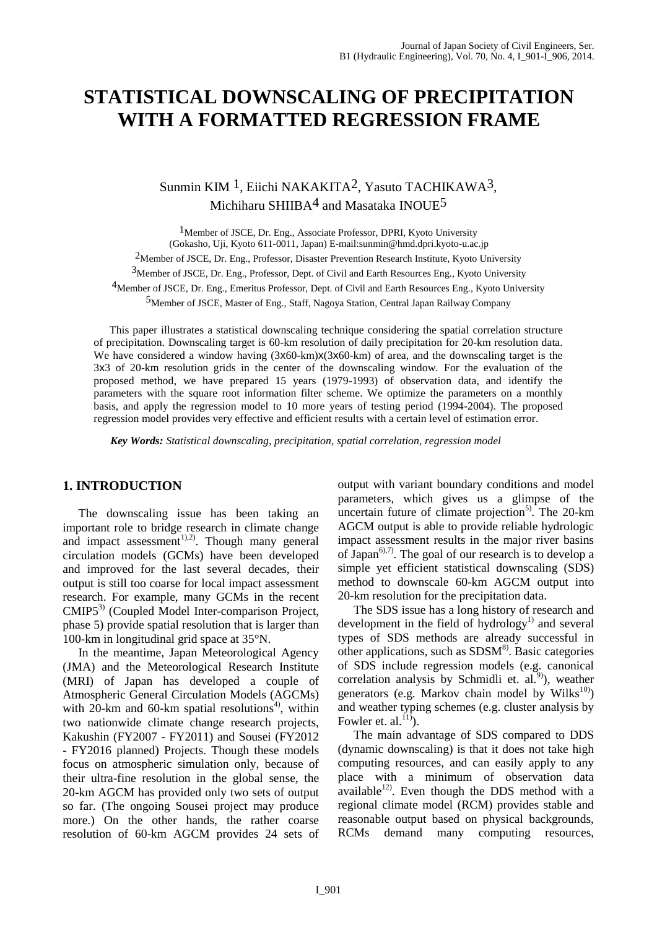# **STATISTICAL DOWNSCALING OF PRECIPITATION WITH A FORMATTED REGRESSION FRAME**

# Sunmin KIM 1, Eiichi NAKAKITA2, Yasuto TACHIKAWA3, Michiharu SHIIBA<sup>4</sup> and Masataka INOUE<sup>5</sup>

<sup>1</sup>Member of JSCE, Dr. Eng., Associate Professor, DPRI, Kyoto University (Gokasho, Uji, Kyoto 611-0011, Japan) E-mail:sunmin@hmd.dpri.kyoto-u.ac.jp <sup>2</sup>Member of JSCE, Dr. Eng., Professor, Disaster Prevention Research Institute, Kyoto University 3Member of JSCE, Dr. Eng., Professor, Dept. of Civil and Earth Resources Eng., Kyoto University 4Member of JSCE, Dr. Eng., Emeritus Professor, Dept. of Civil and Earth Resources Eng., Kyoto University 5Member of JSCE, Master of Eng., Staff, Nagoya Station, Central Japan Railway Company

This paper illustrates a statistical downscaling technique considering the spatial correlation structure of precipitation. Downscaling target is 60-km resolution of daily precipitation for 20-km resolution data. We have considered a window having  $(3x60 \text{-} \text{km})x(3x60 \text{-} \text{km})$  of area, and the downscaling target is the 3x3 of 20-km resolution grids in the center of the downscaling window. For the evaluation of the proposed method, we have prepared 15 years (1979-1993) of observation data, and identify the parameters with the square root information filter scheme. We optimize the parameters on a monthly basis, and apply the regression model to 10 more years of testing period (1994-2004). The proposed regression model provides very effective and efficient results with a certain level of estimation error.

 *Key Words: Statistical downscaling, precipitation, spatial correlation, regression model* 

#### **1. INTRODUCTION**

The downscaling issue has been taking an important role to bridge research in climate change and impact assessment<sup>1),2)</sup>. Though many general circulation models (GCMs) have been developed and improved for the last several decades, their output is still too coarse for local impact assessment research. For example, many GCMs in the recent CMIP5<sup>3)</sup> (Coupled Model Inter-comparison Project, phase 5) provide spatial resolution that is larger than 100-km in longitudinal grid space at 35°N.

In the meantime, Japan Meteorological Agency (JMA) and the Meteorological Research Institute (MRI) of Japan has developed a couple of Atmospheric General Circulation Models (AGCMs) with  $20$ -km and 60-km spatial resolutions<sup>4</sup>, within two nationwide climate change research projects, Kakushin (FY2007 - FY2011) and Sousei (FY2012 - FY2016 planned) Projects. Though these models focus on atmospheric simulation only, because of their ultra-fine resolution in the global sense, the 20-km AGCM has provided only two sets of output so far. (The ongoing Sousei project may produce more.) On the other hands, the rather coarse resolution of 60-km AGCM provides 24 sets of

output with variant boundary conditions and model parameters, which gives us a glimpse of the uncertain future of climate projection<sup>5)</sup>. The 20-km AGCM output is able to provide reliable hydrologic impact assessment results in the major river basins of Japan<sup>6),7)</sup>. The goal of our research is to develop a simple yet efficient statistical downscaling (SDS) method to downscale 60-km AGCM output into 20-km resolution for the precipitation data.

The SDS issue has a long history of research and development in the field of hydrology<sup>1)</sup> and several types of SDS methods are already successful in other applications, such as  $SDSM<sup>8</sup>$ . Basic categories of SDS include regression models (e.g. canonical correlation analysis by Schmidli et.  $al.^{9}$ ), weather generators (e.g. Markov chain model by Wilks $^{10}$ ) and weather typing schemes (e.g. cluster analysis by Fowler et. al. $^{115}$ ).

The main advantage of SDS compared to DDS (dynamic downscaling) is that it does not take high computing resources, and can easily apply to any place with a minimum of observation data  $a$ vailable<sup>12)</sup>. Even though the DDS method with a regional climate model (RCM) provides stable and reasonable output based on physical backgrounds, RCMs demand many computing resources,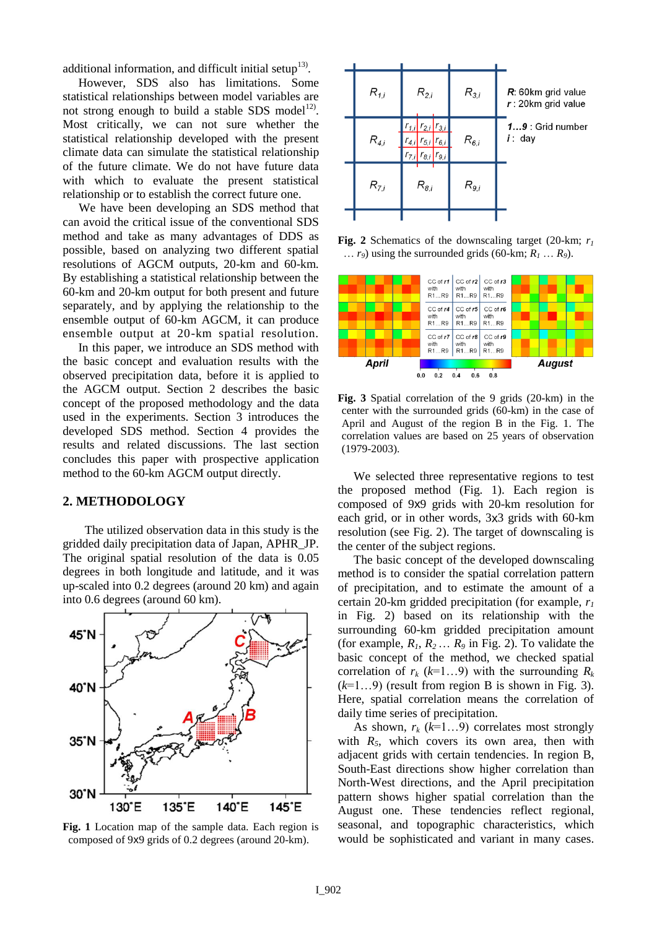additional information, and difficult initial setup $13$ .

However, SDS also has limitations. Some statistical relationships between model variables are not strong enough to build a stable SDS model<sup>12)</sup>. Most critically, we can not sure whether the statistical relationship developed with the present climate data can simulate the statistical relationship of the future climate. We do not have future data with which to evaluate the present statistical relationship or to establish the correct future one.

We have been developing an SDS method that can avoid the critical issue of the conventional SDS method and take as many advantages of DDS as possible, based on analyzing two different spatial resolutions of AGCM outputs, 20-km and 60-km. By establishing a statistical relationship between the 60-km and 20-km output for both present and future separately, and by applying the relationship to the ensemble output of 60-km AGCM, it can produce ensemble output at 20-km spatial resolution.

In this paper, we introduce an SDS method with the basic concept and evaluation results with the observed precipitation data, before it is applied to the AGCM output. Section 2 describes the basic concept of the proposed methodology and the data used in the experiments. Section 3 introduces the developed SDS method. Section 4 provides the results and related discussions. The last section concludes this paper with prospective application method to the 60-km AGCM output directly.

## **2. METHODOLOGY**

The utilized observation data in this study is the gridded daily precipitation data of Japan, APHR\_JP. The original spatial resolution of the data is 0.05 degrees in both longitude and latitude, and it was up-scaled into 0.2 degrees (around 20 km) and again into 0.6 degrees (around 60 km).



**Fig. 1** Location map of the sample data. Each region is composed of 9x9 grids of 0.2 degrees (around 20-km).



**Fig. 2** Schematics of the downscaling target (20-km; *r<sup>1</sup>* ...  $r_9$ ) using the surrounded grids (60-km;  $R_1 \ldots R_9$ ).



**Fig. 3** Spatial correlation of the 9 grids (20-km) in the center with the surrounded grids (60-km) in the case of April and August of the region B in the Fig. 1. The correlation values are based on 25 years of observation (1979-2003).

We selected three representative regions to test the proposed method (Fig. 1). Each region is composed of 9x9 grids with 20-km resolution for each grid, or in other words, 3x3 grids with 60-km resolution (see Fig. 2). The target of downscaling is the center of the subject regions.

The basic concept of the developed downscaling method is to consider the spatial correlation pattern of precipitation, and to estimate the amount of a certain 20-km gridded precipitation (for example, *r<sup>1</sup>* in Fig. 2) based on its relationship with the surrounding 60-km gridded precipitation amount (for example,  $R_1, R_2, \ldots, R_9$  in Fig. 2). To validate the basic concept of the method, we checked spatial correlation of  $r_k$  ( $k=1...9$ ) with the surrounding  $R_k$  $(k=1...9)$  (result from region B is shown in Fig. 3). Here, spatial correlation means the correlation of daily time series of precipitation.

As shown,  $r_k$  ( $k=1...9$ ) correlates most strongly with  $R_5$ , which covers its own area, then with adjacent grids with certain tendencies. In region B, South-East directions show higher correlation than North-West directions, and the April precipitation pattern shows higher spatial correlation than the August one. These tendencies reflect regional, seasonal, and topographic characteristics, which would be sophisticated and variant in many cases.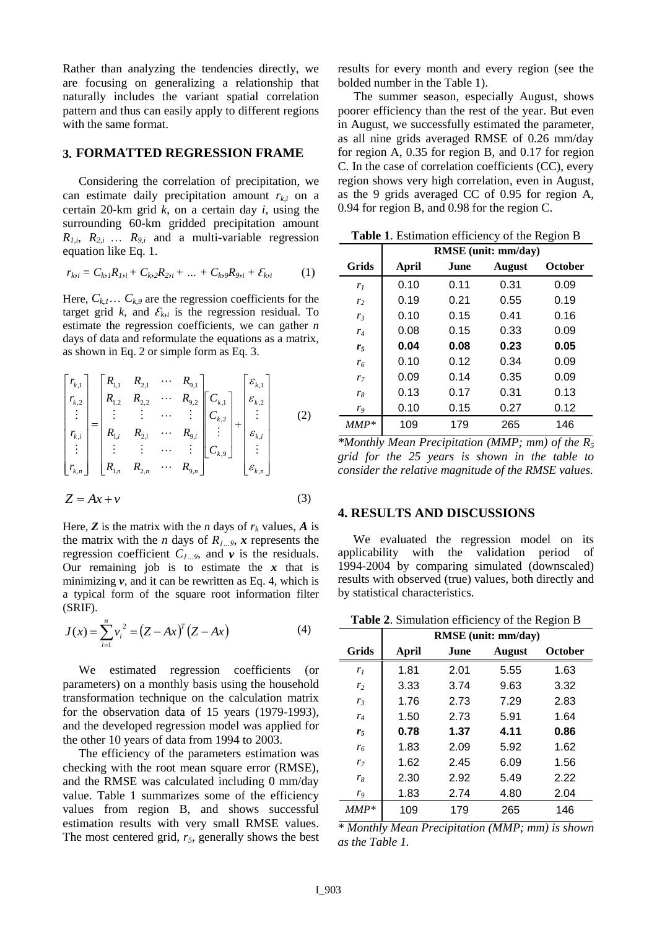Rather than analyzing the tendencies directly, we are focusing on generalizing a relationship that naturally includes the variant spatial correlation pattern and thus can easily apply to different regions with the same format.

#### **3. FORMATTED REGRESSION FRAME**

Considering the correlation of precipitation, we can estimate daily precipitation amount  $r_{k,i}$  on a certain 20-km grid *k*, on a certain day *i*, using the surrounding 60-km gridded precipitation amount  $R_{1,i}$ ,  $R_{2,i}$  ...  $R_{9,i}$  and a multi-variable regression equation like Eq. 1.

$$
r_{ki} = C_{ki}R_{1, i} + C_{ki}R_{2, i} + \dots + C_{ki}R_{9, i} + \mathcal{E}_{ki}
$$
 (1)

Here,  $C_{k,l}$ ...  $C_{k,9}$  are the regression coefficients for the target grid *k*, and  $\mathcal{E}_{ki}$  is the regression residual. To estimate the regression coefficients, we can gather *n* days of data and reformulate the equations as a matrix, as shown in Eq. 2 or simple form as Eq. 3.

$$
\begin{bmatrix} r_{k,1} \\ r_{k,2} \\ \vdots \\ r_{k,i} \\ \vdots \\ r_{k,n} \end{bmatrix} = \begin{bmatrix} R_{1,1} & R_{2,1} & \cdots & R_{9,1} \\ R_{1,2} & R_{2,2} & \cdots & R_{9,2} \\ \vdots & \vdots & \cdots & \vdots \\ R_{1,i} & R_{2,i} & \cdots & R_{9,i} \\ \vdots & \vdots & \cdots & \vdots \\ R_{1,n} & R_{2,n} & \cdots & R_{9,n} \end{bmatrix} \begin{bmatrix} \varepsilon_{k,1} \\ \varepsilon_{k,2} \\ \vdots \\ \varepsilon_{k,n} \end{bmatrix} + \begin{bmatrix} \varepsilon_{k,1} \\ \varepsilon_{k,2} \\ \vdots \\ \varepsilon_{k,n} \end{bmatrix}
$$
 (2)  

$$
Z = Ax + v
$$
 (3)

Here, **Z** is the matrix with the *n* days of  $r_k$  values, *A* is the matrix with the *n* days of  $R_{l}$ <sub>*…9</sub>*, *x* represents the</sub> regression coefficient  $C_{l}$ <sub>*…9*</sub>, and  $\nu$  is the residuals. Our remaining job is to estimate the  $x$  that is minimizing  $v$ , and it can be rewritten as Eq. 4, which is a typical form of the square root information filter (SRIF).

$$
J(x) = \sum_{i=1}^{n} v_i^2 = (Z - Ax)^T (Z - Ax)
$$
 (4)

We estimated regression coefficients (or parameters) on a monthly basis using the household transformation technique on the calculation matrix for the observation data of 15 years (1979-1993), and the developed regression model was applied for the other 10 years of data from 1994 to 2003.

The efficiency of the parameters estimation was checking with the root mean square error (RMSE), and the RMSE was calculated including 0 mm/day value. Table 1 summarizes some of the efficiency values from region B, and shows successful estimation results with very small RMSE values. The most centered grid, *r5*, generally shows the best results for every month and every region (see the bolded number in the Table 1).

The summer season, especially August, shows poorer efficiency than the rest of the year. But even in August, we successfully estimated the parameter, as all nine grids averaged RMSE of 0.26 mm/day for region A, 0.35 for region B, and 0.17 for region C. In the case of correlation coefficients (CC), every region shows very high correlation, even in August, as the 9 grids averaged CC of 0.95 for region A, 0.94 for region B, and 0.98 for the region C.

| <b>Table 1.</b> Estimation efficiency of the Region B |                     |       |               |         |  |  |
|-------------------------------------------------------|---------------------|-------|---------------|---------|--|--|
|                                                       | RMSE (unit: mm/day) |       |               |         |  |  |
| <b>Grids</b>                                          | April               | June. | <b>August</b> | October |  |  |
| r <sub>1</sub>                                        | 0.10                | 0.11  | 0.31          | 0.09    |  |  |
| r <sub>2</sub>                                        | 0.19                | 0.21  | 0.55          | 0.19    |  |  |
| r <sub>3</sub>                                        | 0.10                | 0.15  | 0.41          | 0.16    |  |  |
| $r_4$                                                 | 0.08                | 0.15  | 0.33          | 0.09    |  |  |
| r <sub>5</sub>                                        | 0.04                | 0.08  | 0.23          | 0.05    |  |  |
| $r_{6}$                                               | 0.10                | 0.12  | 0.34          | 0.09    |  |  |
| r <sub>7</sub>                                        | 0.09                | 0.14  | 0.35          | 0.09    |  |  |
| $r_8$                                                 | 0.13                | 0.17  | 0.31          | 0.13    |  |  |
| $r_{9}$                                               | 0.10                | 0.15  | 0.27          | 0.12    |  |  |
| $MMP*$                                                | 109                 | 179   | 265           | 146     |  |  |

*\*Monthly Mean Precipitation (MMP; mm) of the R<sup>5</sup> grid for the 25 years is shown in the table to consider the relative magnitude of the RMSE values.* 

#### **4. RESULTS AND DISCUSSIONS**

We evaluated the regression model on its applicability with the validation period of 1994-2004 by comparing simulated (downscaled) results with observed (true) values, both directly and by statistical characteristics.

**Table 2**. Simulation efficiency of the Region B

|                |                     |      |               | ັ              |  |
|----------------|---------------------|------|---------------|----------------|--|
|                | RMSE (unit: mm/day) |      |               |                |  |
| <b>Grids</b>   | April               | June | <b>August</b> | <b>October</b> |  |
| r <sub>1</sub> | 1.81                | 2.01 | 5.55          | 1.63           |  |
| r <sub>2</sub> | 3.33                | 3.74 | 9.63          | 3.32           |  |
| $r_3$          | 1.76                | 2.73 | 7.29          | 2.83           |  |
| $r_4$          | 1.50                | 2.73 | 5.91          | 1.64           |  |
| r <sub>5</sub> | 0.78                | 1.37 | 4.11          | 0.86           |  |
| $r_6$          | 1.83                | 2.09 | 5.92          | 1.62           |  |
| r <sub>7</sub> | 1.62                | 2.45 | 6.09          | 1.56           |  |
| $r_8$          | 2.30                | 2.92 | 5.49          | 2.22           |  |
| r9             | 1.83                | 2.74 | 4.80          | 2.04           |  |
| $MMP*$         | 109                 | 179  | 265           | 146            |  |

*\* Monthly Mean Precipitation (MMP; mm) is shown as the Table 1.*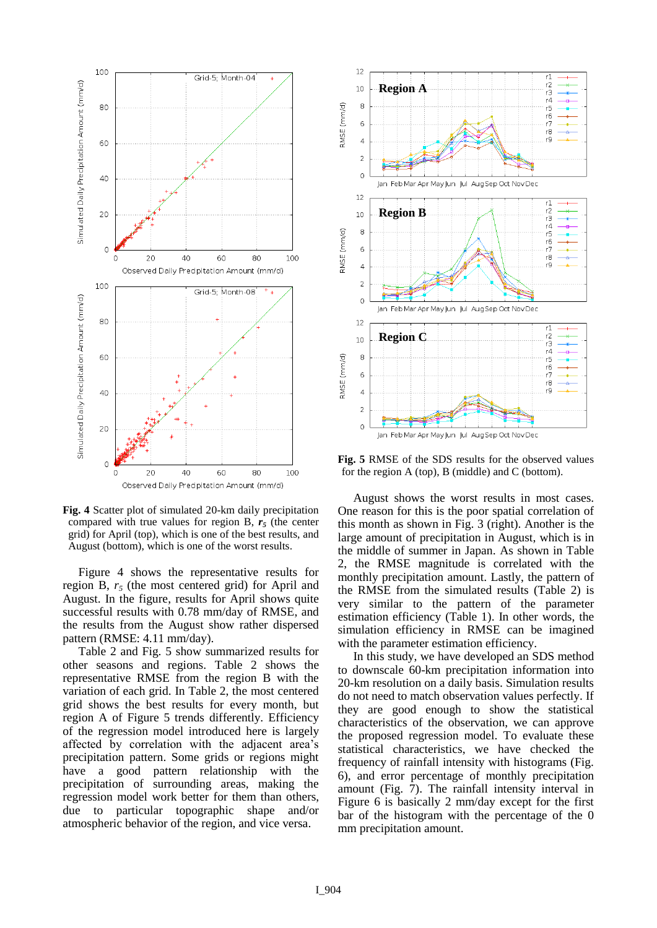

**Fig. 4** Scatter plot of simulated 20-km daily precipitation compared with true values for region B,  $r<sub>5</sub>$  (the center grid) for April (top), which is one of the best results, and August (bottom), which is one of the worst results.

Figure 4 shows the representative results for region B, *r<sup>5</sup>* (the most centered grid) for April and August. In the figure, results for April shows quite successful results with 0.78 mm/day of RMSE, and the results from the August show rather dispersed pattern (RMSE: 4.11 mm/day).

Table 2 and Fig. 5 show summarized results for other seasons and regions. Table 2 shows the representative RMSE from the region B with the variation of each grid. In Table 2, the most centered grid shows the best results for every month, but region A of Figure 5 trends differently. Efficiency of the regression model introduced here is largely affected by correlation with the adjacent area's precipitation pattern. Some grids or regions might have a good pattern relationship with the precipitation of surrounding areas, making the regression model work better for them than others, due to particular topographic shape and/or atmospheric behavior of the region, and vice versa.



**Fig. 5** RMSE of the SDS results for the observed values for the region A (top), B (middle) and C (bottom).

August shows the worst results in most cases. One reason for this is the poor spatial correlation of this month as shown in Fig. 3 (right). Another is the large amount of precipitation in August, which is in the middle of summer in Japan. As shown in Table 2, the RMSE magnitude is correlated with the monthly precipitation amount. Lastly, the pattern of the RMSE from the simulated results (Table 2) is very similar to the pattern of the parameter estimation efficiency (Table 1). In other words, the simulation efficiency in RMSE can be imagined with the parameter estimation efficiency.

In this study, we have developed an SDS method to downscale 60-km precipitation information into 20-km resolution on a daily basis. Simulation results do not need to match observation values perfectly. If they are good enough to show the statistical characteristics of the observation, we can approve the proposed regression model. To evaluate these statistical characteristics, we have checked the frequency of rainfall intensity with histograms (Fig. 6), and error percentage of monthly precipitation amount (Fig. 7). The rainfall intensity interval in Figure 6 is basically 2 mm/day except for the first bar of the histogram with the percentage of the 0 mm precipitation amount.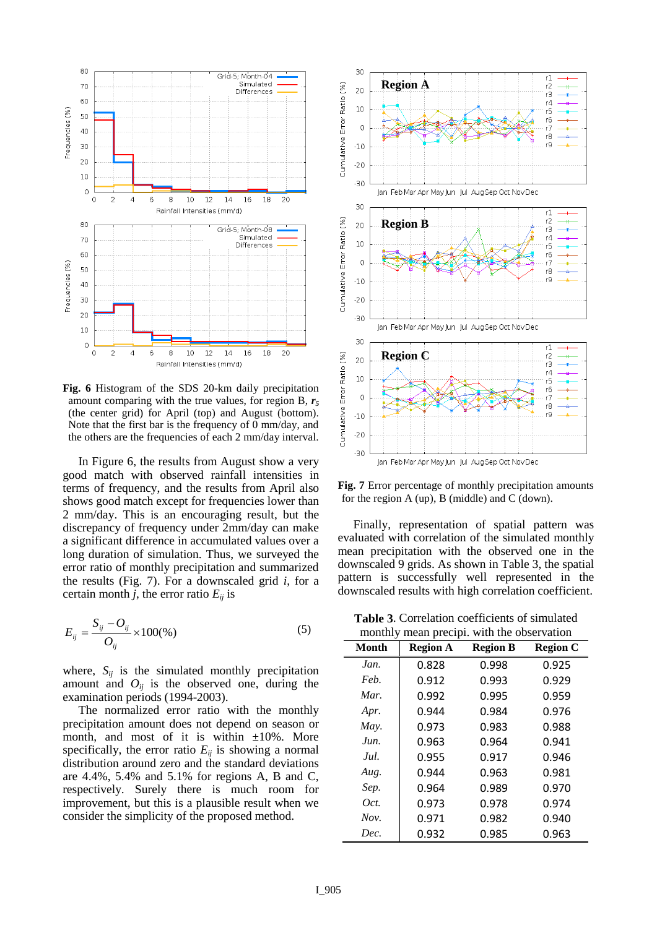

**Fig. 6** Histogram of the SDS 20-km daily precipitation amount comparing with the true values, for region B, *r<sup>5</sup>* (the center grid) for April (top) and August (bottom). Note that the first bar is the frequency of 0 mm/day, and the others are the frequencies of each 2 mm/day interval.

In Figure 6, the results from August show a very good match with observed rainfall intensities in terms of frequency, and the results from April also shows good match except for frequencies lower than 2 mm/day. This is an encouraging result, but the discrepancy of frequency under 2mm/day can make a significant difference in accumulated values over a long duration of simulation. Thus, we surveyed the error ratio of monthly precipitation and summarized the results (Fig. 7). For a downscaled grid *i*, for a certain month *j*, the error ratio  $E_{ij}$  is

$$
E_{ij} = \frac{S_{ij} - O_{ij}}{O_{ij}} \times 100\%
$$
 (5)

where,  $S_{ij}$  is the simulated monthly precipitation amount and  $O_{ii}$  is the observed one, during the examination periods (1994-2003).

The normalized error ratio with the monthly precipitation amount does not depend on season or month, and most of it is within  $\pm 10\%$ . More specifically, the error ratio  $E_{ii}$  is showing a normal distribution around zero and the standard deviations are 4.4%, 5.4% and 5.1% for regions A, B and C, respectively. Surely there is much room for improvement, but this is a plausible result when we consider the simplicity of the proposed method.



**Fig. 7** Error percentage of monthly precipitation amounts for the region A (up), B (middle) and C (down).

Finally, representation of spatial pattern was evaluated with correlation of the simulated monthly mean precipitation with the observed one in the downscaled 9 grids. As shown in Table 3, the spatial pattern is successfully well represented in the downscaled results with high correlation coefficient.

**Table 3**. Correlation coefficients of simulated monthly mean precipi with the observation

| ,,,,,,,,,,,,,<br>Month | <b>Region A</b> | mean precipit with the observation<br><b>Region B</b> | <b>Region C</b> |
|------------------------|-----------------|-------------------------------------------------------|-----------------|
| Jan.                   | 0.828           | 0.998                                                 | 0.925           |
| Feb.                   | 0.912           | 0.993                                                 | 0.929           |
| Mar.                   | 0.992           | 0.995                                                 | 0.959           |
| Apr.                   | 0.944           | 0.984                                                 | 0.976           |
| May.                   | 0.973           | 0.983                                                 | 0.988           |
| Jun.                   | 0.963           | 0.964                                                 | 0.941           |
| Jul.                   | 0.955           | 0.917                                                 | 0.946           |
| Aug.                   | 0.944           | 0.963                                                 | 0.981           |
| Sep.                   | 0.964           | 0.989                                                 | 0.970           |
| Oct.                   | 0.973           | 0.978                                                 | 0.974           |
| Nov.                   | 0.971           | 0.982                                                 | 0.940           |
| Dec.                   | 0.932           | 0.985                                                 | 0.963           |